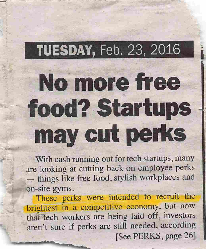## **TUESDAY, Feb. 23, 2016**

## No more free food? Startups may cut perks

With cash running out for tech startups, many are looking at cutting back on employee perks — things like free food, stylish workplaces and on-site gyms.

These perks were intended to recruit the brightest in a competitive economy, but now thai tech workers are being laid off, investors aren't sure if perks are still needed, according [See PERKS, page 26]